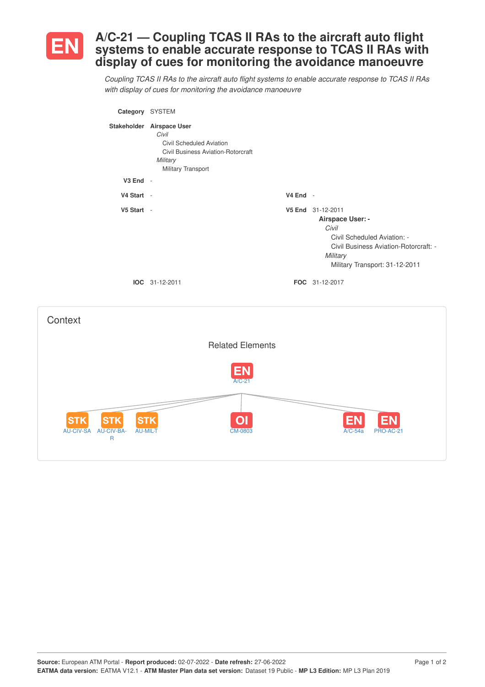

**Context** 

## **A/C-21 — Coupling TCAS II RAs to the aircraft auto flight systems to enable accurate response to TCAS II RAs with display of cues for monitoring the avoidance manoeuvre**

Coupling TCAS II RAs to the aircraft auto flight systems to enable accurate response to TCAS II RAs *with display of cues for monitoring the avoidance manoeuvre*

| Category SYSTEM |                                                                                                                                               |            |                                                                                                                                                                      |
|-----------------|-----------------------------------------------------------------------------------------------------------------------------------------------|------------|----------------------------------------------------------------------------------------------------------------------------------------------------------------------|
|                 | Stakeholder Airspace User<br>Civil<br>Civil Scheduled Aviation<br><b>Civil Business Aviation-Rotorcraft</b><br>Military<br>Military Transport |            |                                                                                                                                                                      |
| $V3$ End $-$    |                                                                                                                                               |            |                                                                                                                                                                      |
| V4 Start -      |                                                                                                                                               | $V4$ End - |                                                                                                                                                                      |
| V5 Start -      |                                                                                                                                               |            | V5 End 31-12-2011<br>Airspace User: -<br>Civil<br>Civil Scheduled Aviation: -<br>Civil Business Aviation-Rotorcraft: -<br>Military<br>Military Transport: 31-12-2011 |
|                 | <b>IOC</b> 31-12-2011                                                                                                                         |            | FOC 31-12-2017                                                                                                                                                       |
|                 |                                                                                                                                               |            |                                                                                                                                                                      |